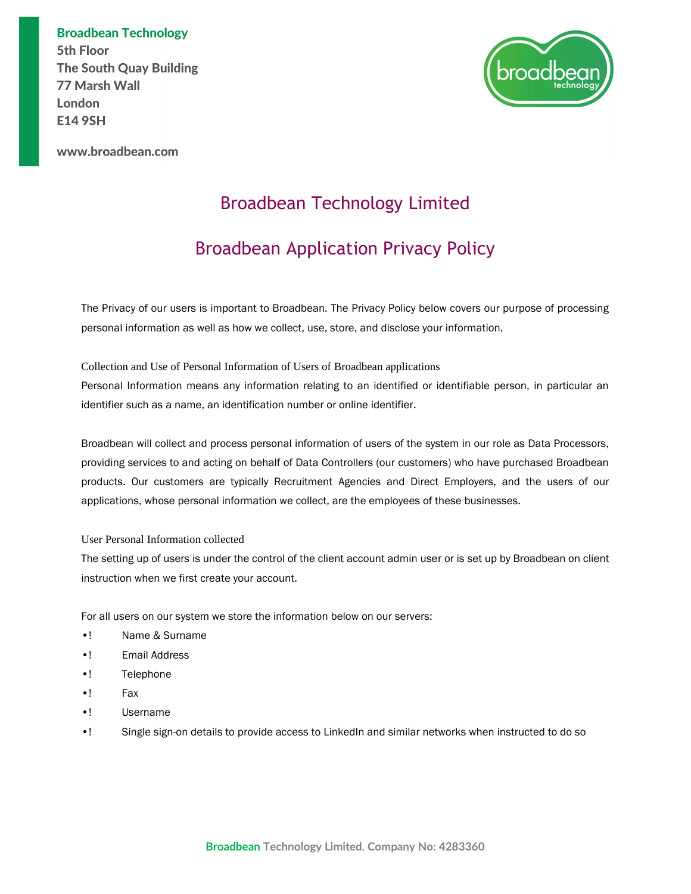**Broadbean Technology** 5th Floor The South Quay Building **77 Marsh Wall** London **E14 9SH** 



www.broadbean.com

## Broadbean Technology Limited

# Broadbean Application Privacy Policy

The Privacy of our users is important to Broadbean. The Privacy Policy below covers our purpose of processing personal information as well as how we collect, use, store, and disclose your information.

Collection and Use of Personal Information of Users of Broadbean applications Personal Information means any information relating to an identified or identifiable person, in particular an identifier such as a name, an identification number or online identifier.

Broadbean will collect and process personal information of users of the system in our role as Data Processors, providing services to and acting on behalf of Data Controllers (our customers) who have purchased Broadbean products. Our customers are typically Recruitment Agencies and Direct Employers, and the users of our applications, whose personal information we collect, are the employees of these businesses.

User Personal Information collected

The setting up of users is under the control of the client account admin user or is set up by Broadbean on client instruction when we first create your account.

For all users on our system we store the information below on our servers:

- •! Name & Surname
- •! Email Address
- •! Telephone
- •! Fax
- •! Username
- •! Single sign-on details to provide access to LinkedIn and similar networks when instructed to do so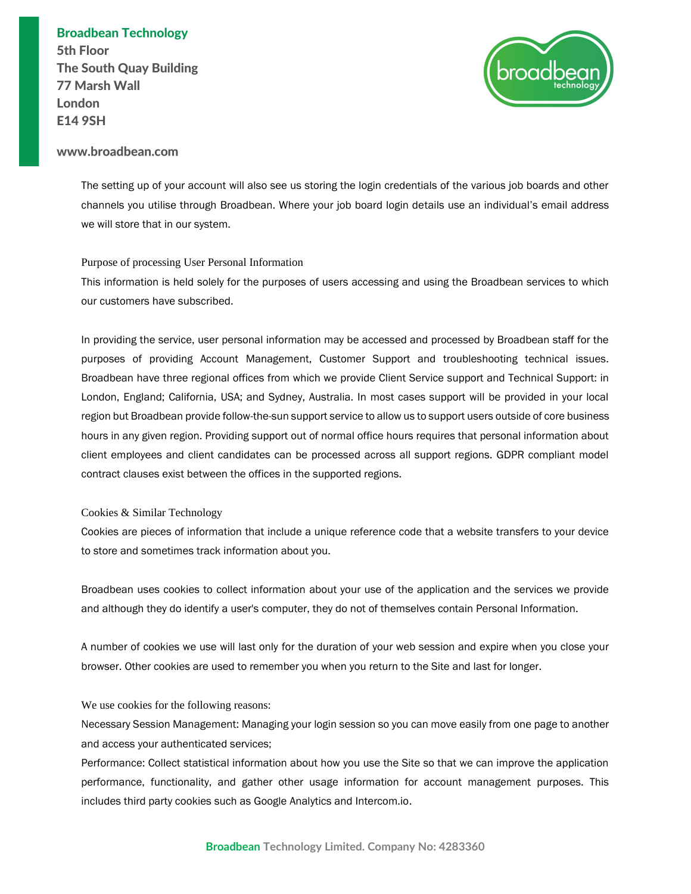## **Broadbean Technology**

5th Floor **The South Quay Building 77 Marsh Wall** London **E14 9SH** 



## www.broadbean.com

The setting up of your account will also see us storing the login credentials of the various job boards and other channels you utilise through Broadbean. Where your job board login details use an individual's email address we will store that in our system.

### Purpose of processing User Personal Information

This information is held solely for the purposes of users accessing and using the Broadbean services to which our customers have subscribed.

In providing the service, user personal information may be accessed and processed by Broadbean staff for the purposes of providing Account Management, Customer Support and troubleshooting technical issues. Broadbean have three regional offices from which we provide Client Service support and Technical Support: in London, England; California, USA; and Sydney, Australia. In most cases support will be provided in your local region but Broadbean provide follow-the-sun support service to allow us to support users outside of core business hours in any given region. Providing support out of normal office hours requires that personal information about client employees and client candidates can be processed across all support regions. GDPR compliant model contract clauses exist between the offices in the supported regions.

### Cookies & Similar Technology

Cookies are pieces of information that include a unique reference code that a website transfers to your device to store and sometimes track information about you.

Broadbean uses cookies to collect information about your use of the application and the services we provide and although they do identify a user's computer, they do not of themselves contain Personal Information.

A number of cookies we use will last only for the duration of your web session and expire when you close your browser. Other cookies are used to remember you when you return to the Site and last for longer.

### We use cookies for the following reasons:

Necessary Session Management: Managing your login session so you can move easily from one page to another and access your authenticated services;

Performance: Collect statistical information about how you use the Site so that we can improve the application performance, functionality, and gather other usage information for account management purposes. This includes third party cookies such as Google Analytics and Intercom.io.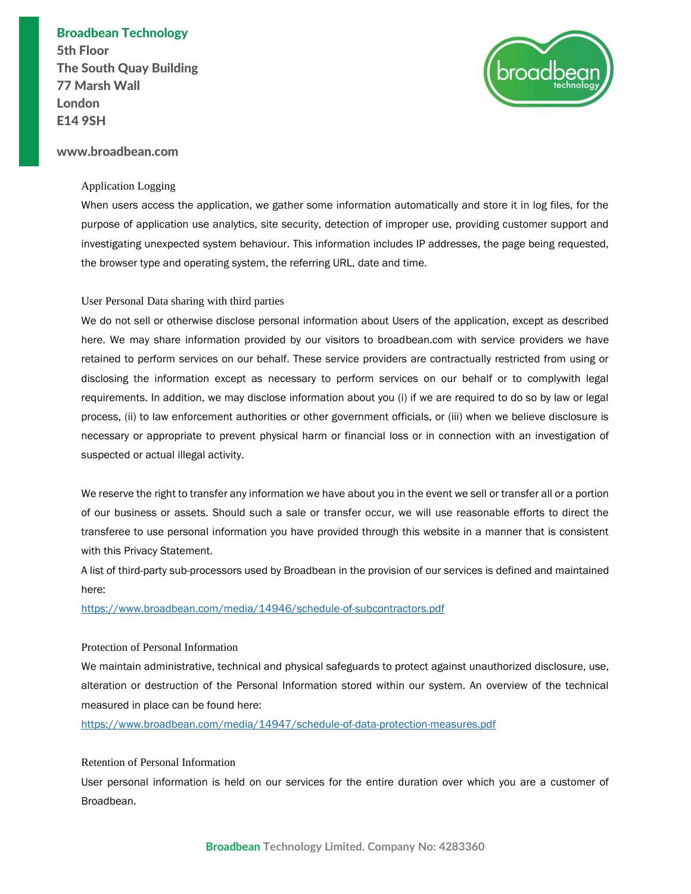## **Broadbean Technology**

5th Floor **The South Quay Building 77 Marsh Wall** London **E14 9SH** 



## www.broadbean.com

## Application Logging

When users access the application, we gather some information automatically and store it in log files, for the purpose of application use analytics, site security, detection of improper use, providing customer support and investigating unexpected system behaviour. This information includes IP addresses, the page being requested, the browser type and operating system, the referring URL, date and time.

## User Personal Data sharing with third parties

We do not sell or otherwise disclose personal information about Users of the application, except as described here. We may share information provided by our visitors to broadbean.com with service providers we have retained to perform services on our behalf. These service providers are contractually restricted from using or disclosing the information except as necessary to perform services on our behalf or to complywith legal requirements. In addition, we may disclose information about you (i) if we are required to do so by law or legal process, (ii) to law enforcement authorities or other government officials, or (iii) when we believe disclosure is necessary or appropriate to prevent physical harm or financial loss or in connection with an investigation of suspected or actual illegal activity.

We reserve the right to transfer any information we have about you in the event we sell or transfer all or a portion of our business or assets. Should such a sale or transfer occur, we will use reasonable efforts to direct the transferee to use personal information you have provided through this website in a manner that is consistent with this Privacy Statement.

A list of third-party sub-processors used by Broadbean in the provision of our services is defined and maintained here:

<https://www.broadbean.com/media/14946/schedule-of-subcontractors.pdf>

### Protection of Personal Information

We maintain administrative, technical and physical safeguards to protect against unauthorized disclosure, use, alteration or destruction of the Personal Information stored within our system. An overview of the technical measured in place can be found here:

<https://www.broadbean.com/media/14947/schedule-of-data-protection-measures.pdf>

Retention of Personal Information

User personal information is held on our services for the entire duration over which you are a customer of Broadbean.